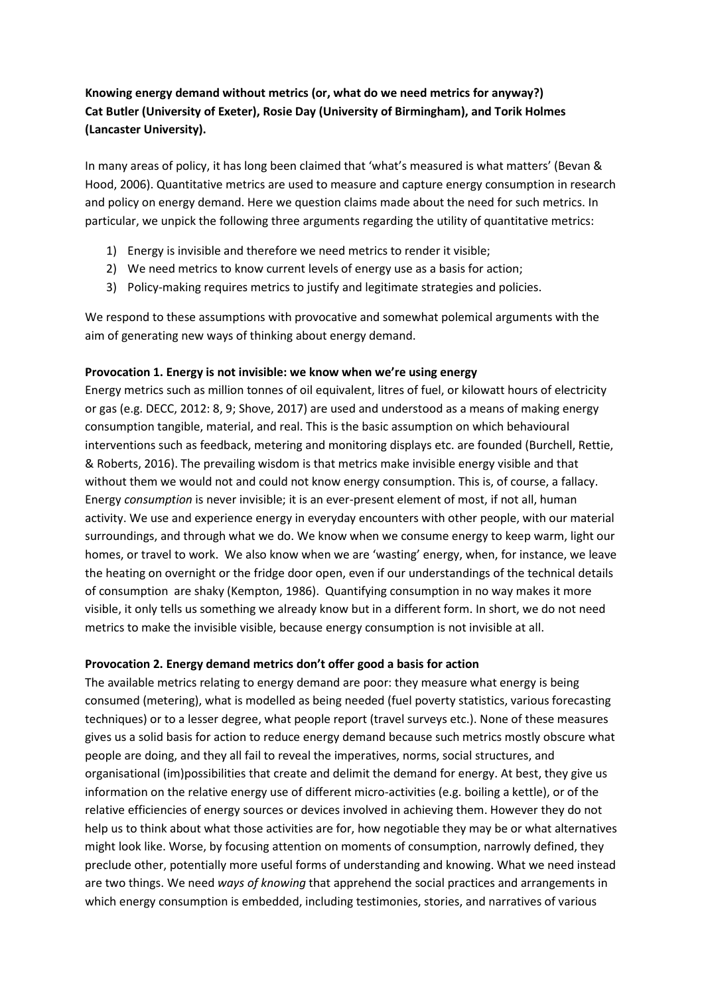# **Knowing energy demand without metrics (or, what do we need metrics for anyway?) Cat Butler (University of Exeter), Rosie Day (University of Birmingham), and Torik Holmes (Lancaster University).**

In many areas of policy, it has long been claimed that 'what's measured is what matters' (Bevan & Hood, 2006). Quantitative metrics are used to measure and capture energy consumption in research and policy on energy demand. Here we question claims made about the need for such metrics. In particular, we unpick the following three arguments regarding the utility of quantitative metrics:

- 1) Energy is invisible and therefore we need metrics to render it visible;
- 2) We need metrics to know current levels of energy use as a basis for action;
- 3) Policy-making requires metrics to justify and legitimate strategies and policies.

We respond to these assumptions with provocative and somewhat polemical arguments with the aim of generating new ways of thinking about energy demand.

### **Provocation 1. Energy is not invisible: we know when we're using energy**

Energy metrics such as million tonnes of oil equivalent, litres of fuel, or kilowatt hours of electricity or gas (e.g. DECC, 2012: 8, 9; Shove, 2017) are used and understood as a means of making energy consumption tangible, material, and real. This is the basic assumption on which behavioural interventions such as feedback, metering and monitoring displays etc. are founded (Burchell, Rettie, & Roberts, 2016). The prevailing wisdom is that metrics make invisible energy visible and that without them we would not and could not know energy consumption. This is, of course, a fallacy. Energy *consumption* is never invisible; it is an ever-present element of most, if not all, human activity. We use and experience energy in everyday encounters with other people, with our material surroundings, and through what we do. We know when we consume energy to keep warm, light our homes, or travel to work. We also know when we are 'wasting' energy, when, for instance, we leave the heating on overnight or the fridge door open, even if our understandings of the technical details of consumption are shaky (Kempton, 1986). Quantifying consumption in no way makes it more visible, it only tells us something we already know but in a different form. In short, we do not need metrics to make the invisible visible, because energy consumption is not invisible at all.

### **Provocation 2. Energy demand metrics don't offer good a basis for action**

The available metrics relating to energy demand are poor: they measure what energy is being consumed (metering), what is modelled as being needed (fuel poverty statistics, various forecasting techniques) or to a lesser degree, what people report (travel surveys etc.). None of these measures gives us a solid basis for action to reduce energy demand because such metrics mostly obscure what people are doing, and they all fail to reveal the imperatives, norms, social structures, and organisational (im)possibilities that create and delimit the demand for energy. At best, they give us information on the relative energy use of different micro-activities (e.g. boiling a kettle), or of the relative efficiencies of energy sources or devices involved in achieving them. However they do not help us to think about what those activities are for, how negotiable they may be or what alternatives might look like. Worse, by focusing attention on moments of consumption, narrowly defined, they preclude other, potentially more useful forms of understanding and knowing. What we need instead are two things. We need *ways of knowing* that apprehend the social practices and arrangements in which energy consumption is embedded, including testimonies, stories, and narratives of various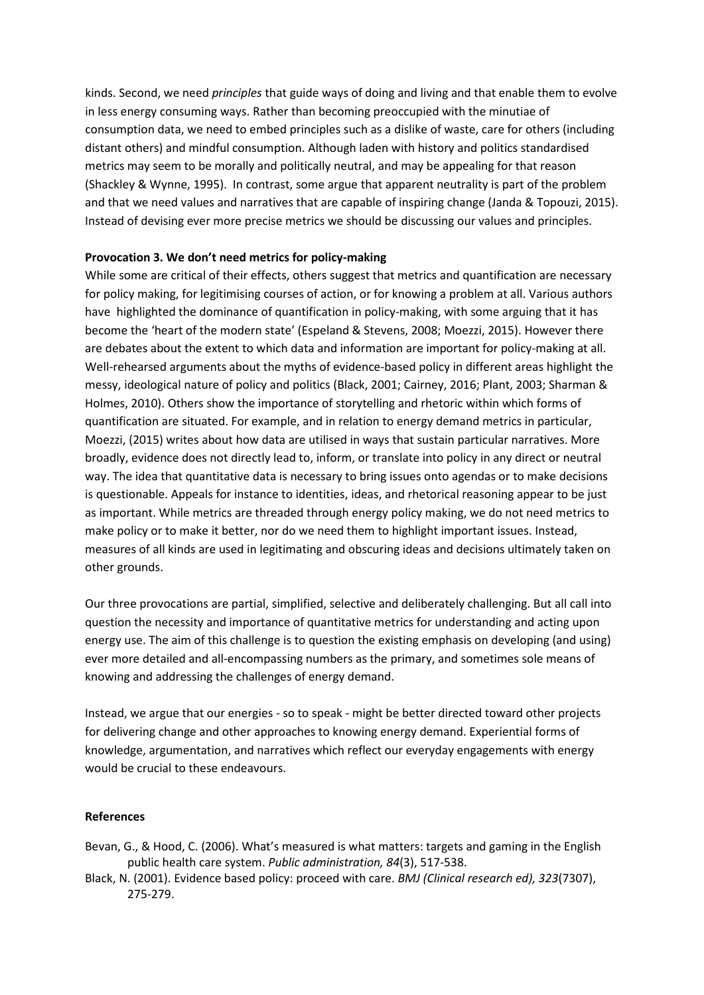kinds. Second, we need *principles* that guide ways of doing and living and that enable them to evolve in less energy consuming ways. Rather than becoming preoccupied with the minutiae of consumption data, we need to embed principles such as a dislike of waste, care for others (including distant others) and mindful consumption. Although laden with history and politics standardised metrics may seem to be morally and politically neutral, and may be appealing for that reason (Shackley & Wynne, 1995). In contrast, some argue that apparent neutrality is part of the problem and that we need values and narratives that are capable of inspiring change (Janda & Topouzi, 2015). Instead of devising ever more precise metrics we should be discussing our values and principles.

## **Provocation 3. We don't need metrics for policy-making**

While some are critical of their effects, others suggest that metrics and quantification are necessary for policy making, for legitimising courses of action, or for knowing a problem at all. Various authors have highlighted the dominance of quantification in policy-making, with some arguing that it has become the 'heart of the modern state' (Espeland & Stevens, 2008; Moezzi, 2015). However there are debates about the extent to which data and information are important for policy-making at all. Well-rehearsed arguments about the myths of evidence-based policy in different areas highlight the messy, ideological nature of policy and politics (Black, 2001; Cairney, 2016; Plant, 2003; Sharman & Holmes, 2010). Others show the importance of storytelling and rhetoric within which forms of quantification are situated. For example, and in relation to energy demand metrics in particular, Moezzi, (2015) writes about how data are utilised in ways that sustain particular narratives. More broadly, evidence does not directly lead to, inform, or translate into policy in any direct or neutral way. The idea that quantitative data is necessary to bring issues onto agendas or to make decisions is questionable. Appeals for instance to identities, ideas, and rhetorical reasoning appear to be just as important. While metrics are threaded through energy policy making, we do not need metrics to make policy or to make it better, nor do we need them to highlight important issues. Instead, measures of all kinds are used in legitimating and obscuring ideas and decisions ultimately taken on other grounds.

Our three provocations are partial, simplified, selective and deliberately challenging. But all call into question the necessity and importance of quantitative metrics for understanding and acting upon energy use. The aim of this challenge is to question the existing emphasis on developing (and using) ever more detailed and all-encompassing numbers as the primary, and sometimes sole means of knowing and addressing the challenges of energy demand.

Instead, we argue that our energies - so to speak - might be better directed toward other projects for delivering change and other approaches to knowing energy demand. Experiential forms of knowledge, argumentation, and narratives which reflect our everyday engagements with energy would be crucial to these endeavours.

### **References**

- Bevan, G., & Hood, C. (2006). What's measured is what matters: targets and gaming in the English public health care system. *Public administration, 84*(3), 517-538.
- Black, N. (2001). Evidence based policy: proceed with care. *BMJ (Clinical research ed), 323*(7307), 275-279.